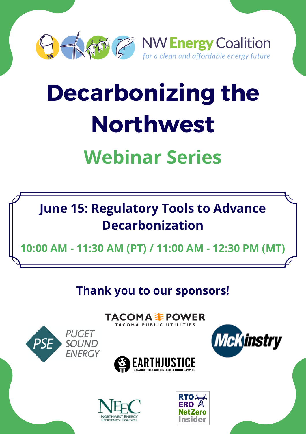

# **Decarbonizing the Northwest**

# **Webinar Series**



**10:00 AM - 11:30 AM (PT) / 11:00 AM - 12:30 PM (MT)**

**Thank you to our sponsors!**

TACOMA <del>≨</del> POWER

TACOMA PUBLIC UTILITIES







**PUGET** 

**SOUND** 

**FNFRGY** 

PSI

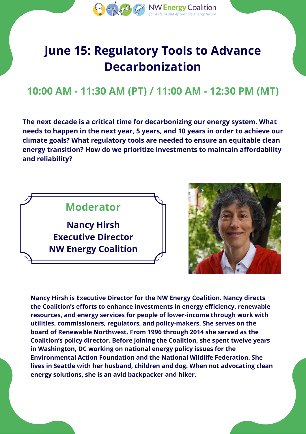

## **June 15: Regulatory Tools to Advance Decarbonization**

#### **10:00 AM - 11:30 AM (PT) / 11:00 AM - 12:30 PM (MT)**

**The next decade is a critical time for decarbonizing our energy system. What needs to happen in the next year, 5 years, and 10 years in order to achieve our climate goals? What regulatory tools are needed to ensure an equitable clean energy transition? How do we prioritize investments to maintain affordability and reliability?**





**Nancy Hirsh is Executive Director for the NW Energy Coalition. Nancy directs the Coalition's efforts to enhance investments in energy efficiency, renewable resources, and energy services for people of lower-income through work with utilities, commissioners, regulators, and policy-makers. She serves on the board of Renewable Northwest. From 1996 through 2014 she served as the Coalition's policy director. Before joining the Coalition, she spent twelve years in Washington, DC working on national energy policy issues for the Environmental Action Foundation and the National Wildlife Federation. She lives in Seattle with her husband, children and dog. When not advocating clean energy solutions, she is an avid backpacker and hiker.**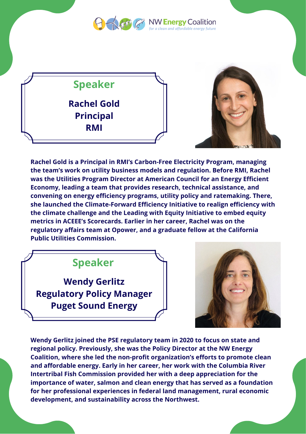



**Rachel Gold Principal RMI**



**Rachel Gold is a Principal in RMI's Carbon-Free Electricity Program, managing the team's work on utility business models and regulation. Before RMI, Rachel was the Utilities Program Director at American Council for an Energy Efficient Economy, leading a team that provides research, technical assistance, and convening on energy efficiency programs, utility policy and ratemaking. There, she launched the Climate-Forward Efficiency Initiative to realign efficiency with the climate challenge and the Leading with Equity Initiative to embed equity metrics in ACEEE's Scorecards. Earlier in her career, Rachel was on the regulatory affairs team at Opower, and a graduate fellow at the California Public Utilities Commission.**

#### **Speaker**

**Wendy Gerlitz Regulatory Policy Manager Puget Sound Energy**



**Wendy Gerlitz joined the PSE regulatory team in 2020 to focus on state and regional policy. Previously, she was the Policy Director at the NW Energy Coalition, where she led the non-profit organization's efforts to promote clean and affordable energy. Early in her career, her work with the Columbia River Intertribal Fish Commission provided her with a deep appreciation for the importance of water, salmon and clean energy that has served as a foundation for her professional experiences in federal land management, rural economic development, and sustainability across the Northwest.**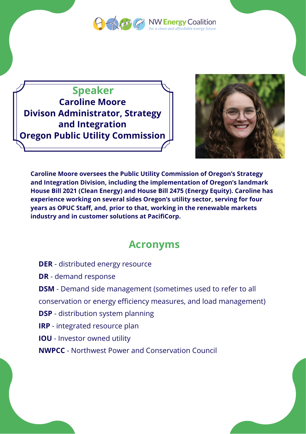

**O A fill Construct De NW Energy Coalition**  $\alpha$  clean and affordable energy future

**Speaker Caroline Moore Divison Administrator, Strategy and Integration Oregon Public Utility Commission**



**Caroline Moore oversees the Public Utility Commission of Oregon's Strategy and Integration Division, including the implementation of Oregon's landmark House Bill 2021 (Clean Energy) and House Bill 2475 (Energy Equity). Caroline has experience working on several sides Oregon's utility sector, serving for four years as OPUC Staff, and, prior to that, working in the renewable markets industry and in customer solutions at PacifiCorp.**

#### **Acronyms**

**DER** - distributed energy resource

**DR** - demand response

**DSM** - Demand side management (sometimes used to refer to all

conservation or energy efficiency measures, and load management)

**DSP** - distribution system planning

**IRP** - integrated resource plan

**IOU** - Investor owned utility

**NWPCC** - Northwest Power and Conservation Council